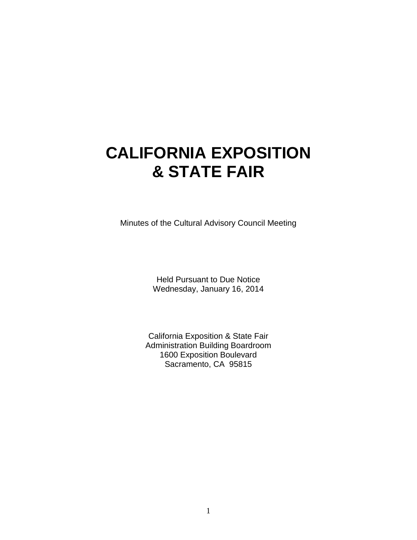# **CALIFORNIA EXPOSITION & STATE FAIR**

Minutes of the Cultural Advisory Council Meeting

Held Pursuant to Due Notice Wednesday, January 16, 2014

California Exposition & State Fair Administration Building Boardroom 1600 Exposition Boulevard Sacramento, CA 95815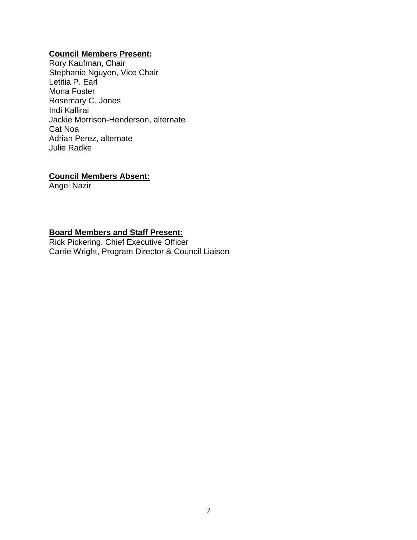## **Council Members Present:**

Rory Kaufman, Chair Stephanie Nguyen, Vice Chair Letitia P. Earl Mona Foster Rosemary C. Jones Indi Kallirai Jackie Morrison-Henderson, alternate Cat Noa Adrian Perez, alternate Julie Radke

#### **Council Members Absent:**

Angel Nazir

#### **Board Members and Staff Present:**

Rick Pickering, Chief Executive Officer Carrie Wright, Program Director & Council Liaison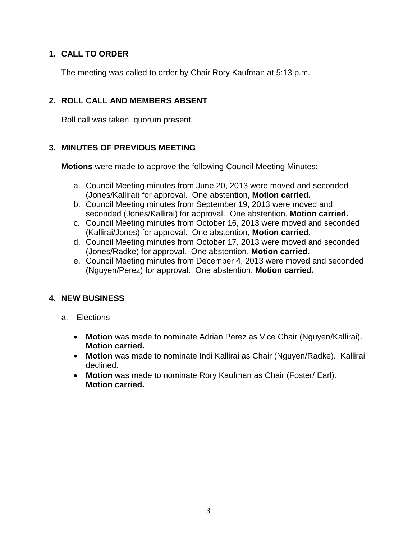## **1. CALL TO ORDER**

The meeting was called to order by Chair Rory Kaufman at 5:13 p.m.

# **2. ROLL CALL AND MEMBERS ABSENT**

Roll call was taken, quorum present.

# **3. MINUTES OF PREVIOUS MEETING**

**Motions** were made to approve the following Council Meeting Minutes:

- a. Council Meeting minutes from June 20, 2013 were moved and seconded (Jones/Kallirai) for approval. One abstention, **Motion carried.**
- b. Council Meeting minutes from September 19, 2013 were moved and seconded (Jones/Kallirai) for approval. One abstention, **Motion carried.**
- c. Council Meeting minutes from October 16, 2013 were moved and seconded (Kallirai/Jones) for approval. One abstention, **Motion carried.**
- d. Council Meeting minutes from October 17, 2013 were moved and seconded (Jones/Radke) for approval. One abstention, **Motion carried.**
- e. Council Meeting minutes from December 4, 2013 were moved and seconded (Nguyen/Perez) for approval. One abstention, **Motion carried.**

## **4. NEW BUSINESS**

- a. Elections
	- **Motion** was made to nominate Adrian Perez as Vice Chair (Nguyen/Kallirai). **Motion carried.**
	- **Motion** was made to nominate Indi Kallirai as Chair (Nguyen/Radke). Kallirai declined.
	- **Motion** was made to nominate Rory Kaufman as Chair (Foster/ Earl). **Motion carried.**